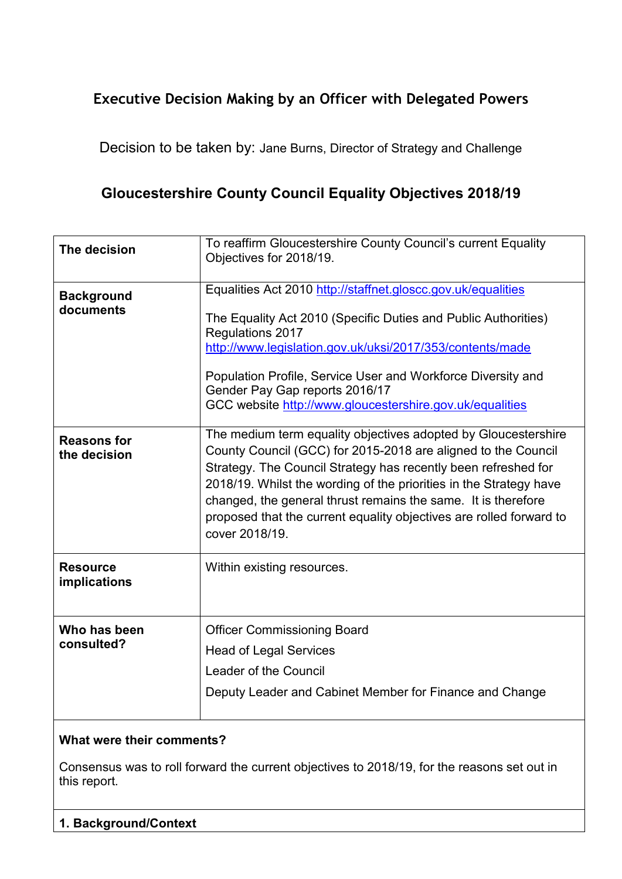## **Executive Decision Making by an Officer with Delegated Powers**

Decision to be taken by: Jane Burns, Director of Strategy and Challenge

# **Gloucestershire County Council Equality Objectives 2018/19**

| To reaffirm Gloucestershire County Council's current Equality<br>Objectives for 2018/19.                                                                                                                                                                                                                                                                                                                                          |
|-----------------------------------------------------------------------------------------------------------------------------------------------------------------------------------------------------------------------------------------------------------------------------------------------------------------------------------------------------------------------------------------------------------------------------------|
| Equalities Act 2010 http://staffnet.gloscc.gov.uk/equalities<br>The Equality Act 2010 (Specific Duties and Public Authorities)<br>Regulations 2017<br>http://www.legislation.gov.uk/uksi/2017/353/contents/made<br>Population Profile, Service User and Workforce Diversity and<br>Gender Pay Gap reports 2016/17<br>GCC website http://www.gloucestershire.gov.uk/equalities                                                     |
| The medium term equality objectives adopted by Gloucestershire<br>County Council (GCC) for 2015-2018 are aligned to the Council<br>Strategy. The Council Strategy has recently been refreshed for<br>2018/19. Whilst the wording of the priorities in the Strategy have<br>changed, the general thrust remains the same. It is therefore<br>proposed that the current equality objectives are rolled forward to<br>cover 2018/19. |
| Within existing resources.                                                                                                                                                                                                                                                                                                                                                                                                        |
| <b>Officer Commissioning Board</b><br><b>Head of Legal Services</b><br>Leader of the Council<br>Deputy Leader and Cabinet Member for Finance and Change                                                                                                                                                                                                                                                                           |
|                                                                                                                                                                                                                                                                                                                                                                                                                                   |

## **What were their comments?**

Consensus was to roll forward the current objectives to 2018/19, for the reasons set out in this report.

## **1. Background/Context**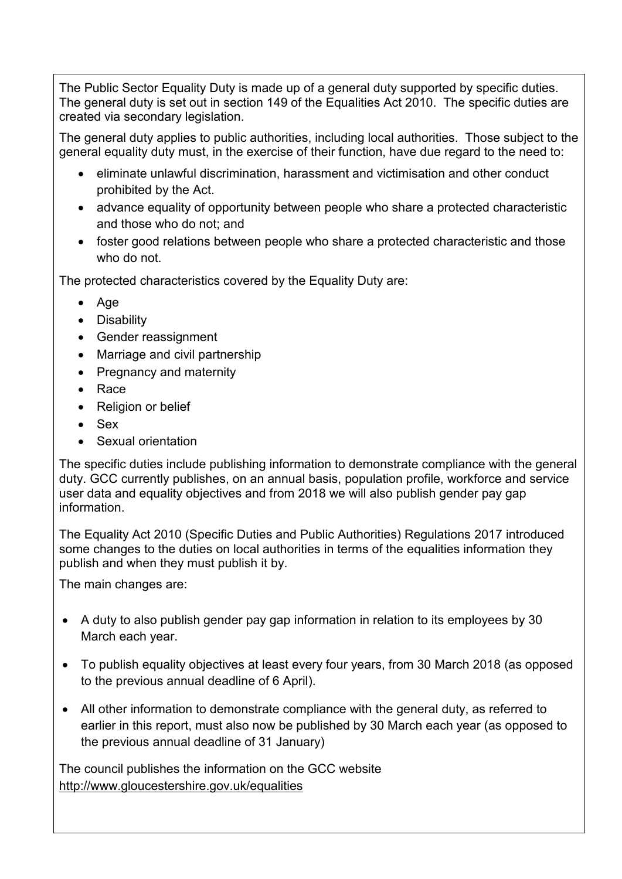The Public Sector Equality Duty is made up of a general duty supported by specific duties. The general duty is set out in section 149 of the Equalities Act 2010. The specific duties are created via secondary legislation.

The general duty applies to public authorities, including local authorities. Those subject to the general equality duty must, in the exercise of their function, have due regard to the need to:

- eliminate unlawful discrimination, harassment and victimisation and other conduct prohibited by the Act.
- advance equality of opportunity between people who share a protected characteristic and those who do not; and
- foster good relations between people who share a protected characteristic and those who do not.

The protected characteristics covered by the Equality Duty are:

- Age
- Disability
- Gender reassignment
- Marriage and civil partnership
- Pregnancy and maternity
- Race
- Religion or belief
- Sex
- Sexual orientation

The specific duties include publishing information to demonstrate compliance with the general duty. GCC currently publishes, on an annual basis, population profile, workforce and service user data and equality objectives and from 2018 we will also publish gender pay gap information.

The Equality Act 2010 (Specific Duties and Public Authorities) Regulations 2017 introduced some changes to the duties on local authorities in terms of the equalities information they publish and when they must publish it by.

The main changes are:

- A duty to also publish gender pay gap information in relation to its employees by 30 March each year.
- To publish equality objectives at least every four years, from 30 March 2018 (as opposed to the previous annual deadline of 6 April).
- All other information to demonstrate compliance with the general duty, as referred to earlier in this report, must also now be published by 30 March each year (as opposed to the previous annual deadline of 31 January)

The council publishes the information on the GCC website <http://www.gloucestershire.gov.uk/equalities>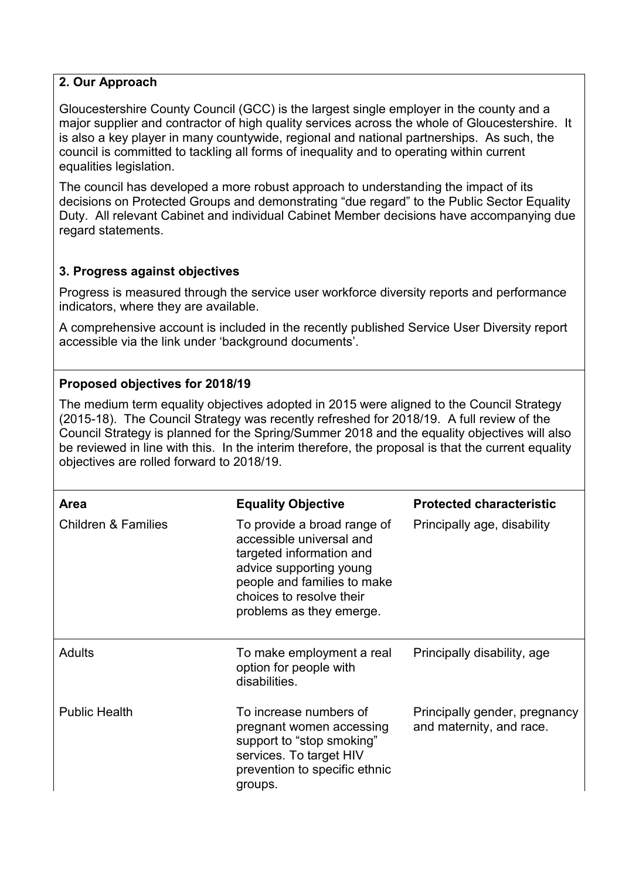## **2. Our Approach**

Gloucestershire County Council (GCC) is the largest single employer in the county and a major supplier and contractor of high quality services across the whole of Gloucestershire. It is also a key player in many countywide, regional and national partnerships. As such, the council is committed to tackling all forms of inequality and to operating within current equalities legislation.

The council has developed a more robust approach to understanding the impact of its decisions on Protected Groups and demonstrating "due regard" to the Public Sector Equality Duty. All relevant Cabinet and individual Cabinet Member decisions have accompanying due regard statements.

## **3. Progress against objectives**

Progress is measured through the service user workforce diversity reports and performance indicators, where they are available.

A comprehensive account is included in the recently published Service User Diversity report accessible via the link under 'background documents'.

## **Proposed objectives for 2018/19**

The medium term equality objectives adopted in 2015 were aligned to the Council Strategy (2015-18). The Council Strategy was recently refreshed for 2018/19. A full review of the Council Strategy is planned for the Spring/Summer 2018 and the equality objectives will also be reviewed in line with this. In the interim therefore, the proposal is that the current equality objectives are rolled forward to 2018/19.

| <b>Area</b>                    | <b>Equality Objective</b>                                                                                                                                                                             | <b>Protected characteristic</b>                           |
|--------------------------------|-------------------------------------------------------------------------------------------------------------------------------------------------------------------------------------------------------|-----------------------------------------------------------|
| <b>Children &amp; Families</b> | To provide a broad range of<br>accessible universal and<br>targeted information and<br>advice supporting young<br>people and families to make<br>choices to resolve their<br>problems as they emerge. | Principally age, disability                               |
| <b>Adults</b>                  | To make employment a real<br>option for people with<br>disabilities.                                                                                                                                  | Principally disability, age                               |
| <b>Public Health</b>           | To increase numbers of<br>pregnant women accessing<br>support to "stop smoking"<br>services. To target HIV<br>prevention to specific ethnic<br>groups.                                                | Principally gender, pregnancy<br>and maternity, and race. |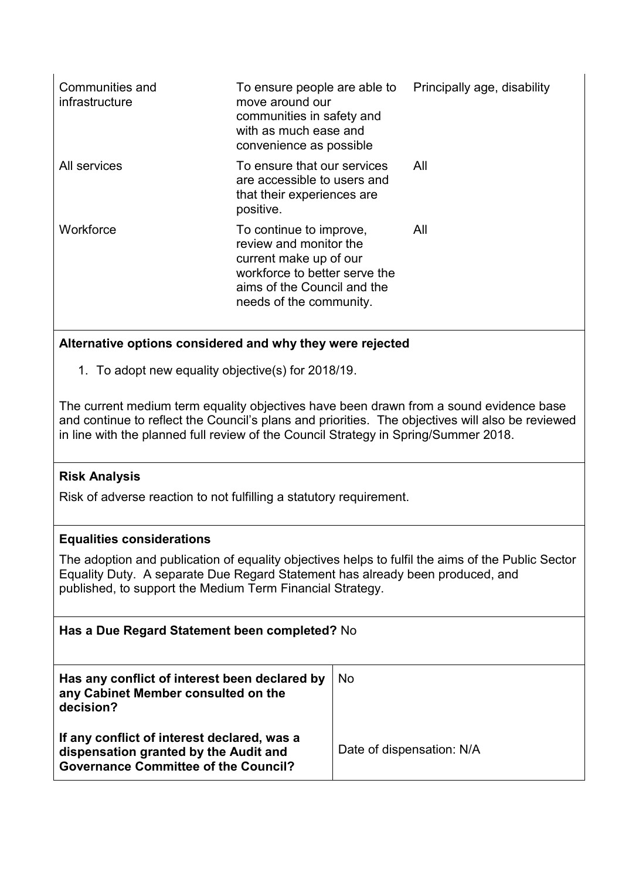| Communities and<br>infrastructure | To ensure people are able to<br>move around our<br>communities in safety and<br>with as much ease and<br>convenience as possible                                       | Principally age, disability |
|-----------------------------------|------------------------------------------------------------------------------------------------------------------------------------------------------------------------|-----------------------------|
| All services                      | To ensure that our services<br>are accessible to users and<br>that their experiences are<br>positive.                                                                  | All                         |
| Workforce                         | To continue to improve,<br>review and monitor the<br>current make up of our<br>workforce to better serve the<br>aims of the Council and the<br>needs of the community. | All                         |

## **Alternative options considered and why they were rejected**

1. To adopt new equality objective(s) for 2018/19.

The current medium term equality objectives have been drawn from a sound evidence base and continue to reflect the Council's plans and priorities. The objectives will also be reviewed in line with the planned full review of the Council Strategy in Spring/Summer 2018.

## **Risk Analysis**

Risk of adverse reaction to not fulfilling a statutory requirement.

#### **Equalities considerations**

The adoption and publication of equality objectives helps to fulfil the aims of the Public Sector Equality Duty. A separate Due Regard Statement has already been produced, and published, to support the Medium Term Financial Strategy.

| Has a Due Regard Statement been completed? No                                                                                       |                           |  |  |
|-------------------------------------------------------------------------------------------------------------------------------------|---------------------------|--|--|
| Has any conflict of interest been declared by<br>any Cabinet Member consulted on the<br>decision?                                   | <b>No</b>                 |  |  |
| If any conflict of interest declared, was a<br>dispensation granted by the Audit and<br><b>Governance Committee of the Council?</b> | Date of dispensation: N/A |  |  |